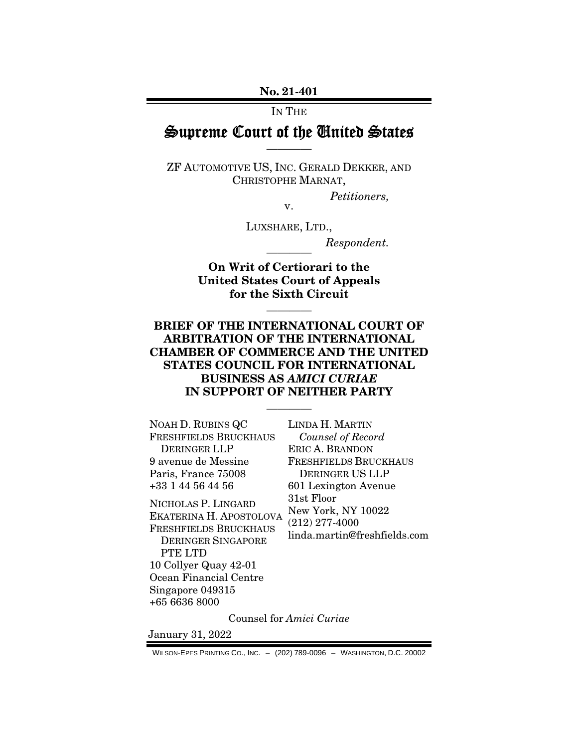No. 21-401

IN THE

# Supreme Court of the United States ————

ZF AUTOMOTIVE US, INC. GERALD DEKKER, AND CHRISTOPHE MARNAT,

*Petitioners,* 

v.

LUXSHARE, LTD.,

 $Respondent.$ 

On Writ of Certiorari to the United States Court of Appeals for the Sixth Circuit

————

# BRIEF OF THE INTERNATIONAL COURT OF ARBITRATION OF THE INTERNATIONAL CHAMBER OF COMMERCE AND THE UNITED STATES COUNCIL FOR INTERNATIONAL BUSINESS AS *AMICI CURIAE*  IN SUPPORT OF NEITHER PARTY

————

| NOAH D. RUBINS QC                                                                                                                                                                                              | LINDA H. MARTIN                                                                      |  |  |  |
|----------------------------------------------------------------------------------------------------------------------------------------------------------------------------------------------------------------|--------------------------------------------------------------------------------------|--|--|--|
| <b>FRESHFIELDS BRUCKHAUS</b>                                                                                                                                                                                   | Counsel of Record                                                                    |  |  |  |
| DERINGER LLP                                                                                                                                                                                                   | ERIC A. BRANDON                                                                      |  |  |  |
| 9 avenue de Messine                                                                                                                                                                                            | <b>FRESHFIELDS BRUCKHAUS</b>                                                         |  |  |  |
| Paris, France 75008                                                                                                                                                                                            | DERINGER US LLP                                                                      |  |  |  |
| +33 1 44 56 44 56                                                                                                                                                                                              | 601 Lexington Avenue                                                                 |  |  |  |
| NICHOLAS P. LINGARD<br>EKATERINA H. APOSTOLOVA<br><b>FRESHFIELDS BRUCKHAUS</b><br><b>DERINGER SINGAPORE</b><br>PTE LTD<br>10 Collyer Quay 42-01<br>Ocean Financial Centre<br>Singapore 049315<br>+65 6636 8000 | 31st Floor<br>New York, NY 10022<br>$(212)$ 277-4000<br>linda.martin@freshfields.com |  |  |  |
| Counsel for Amici Curiae                                                                                                                                                                                       |                                                                                      |  |  |  |

January 31, 2022

WILSON-EPES PRINTING CO., INC. – (202) 789-0096 – WASHINGTON, D.C. 20002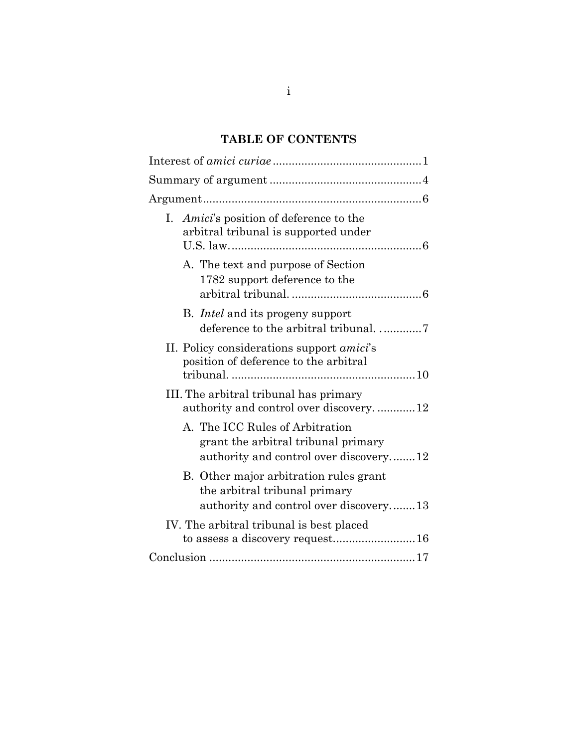# **TABLE OF CONTENTS**

| I. <i>Amici</i> 's position of deference to the<br>arbitral tribunal is supported under                           |
|-------------------------------------------------------------------------------------------------------------------|
| A. The text and purpose of Section<br>1782 support deference to the                                               |
| B. <i>Intel</i> and its progeny support<br>deference to the arbitral tribunal7                                    |
| II. Policy considerations support <i>amici</i> 's<br>position of deference to the arbitral                        |
| III. The arbitral tribunal has primary<br>authority and control over discovery12                                  |
| A. The ICC Rules of Arbitration<br>grant the arbitral tribunal primary<br>authority and control over discovery12  |
| B. Other major arbitration rules grant<br>the arbitral tribunal primary<br>authority and control over discovery13 |
| IV. The arbitral tribunal is best placed                                                                          |
|                                                                                                                   |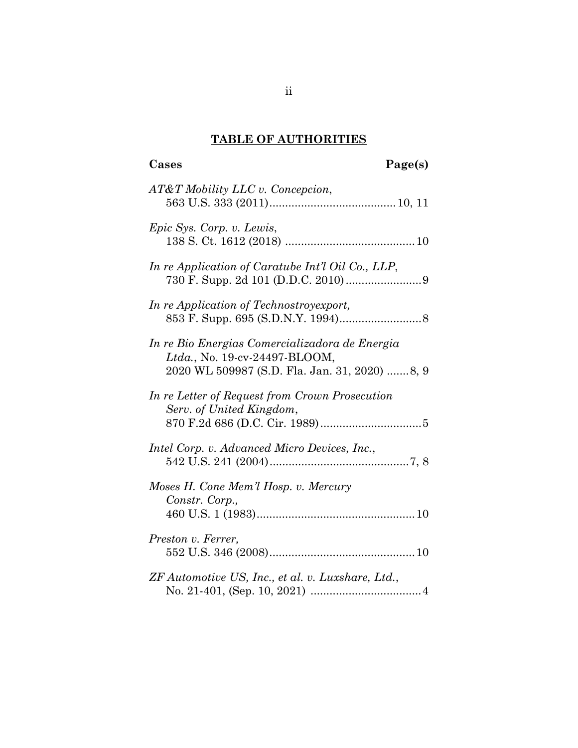# **TABLE OF AUTHORITIES**

| AT&T Mobility LLC v. Concepcion,                                                                                                 |
|----------------------------------------------------------------------------------------------------------------------------------|
| Epic Sys. Corp. v. Lewis,                                                                                                        |
| In re Application of Caratube Int'l Oil Co., LLP,                                                                                |
| In re Application of Technostroyexport,                                                                                          |
| In re Bio Energias Comercializadora de Energia<br>Ltda., No. 19-cv-24497-BLOOM,<br>2020 WL 509987 (S.D. Fla. Jan. 31, 2020) 8, 9 |
| In re Letter of Request from Crown Prosecution<br>Serv. of United Kingdom,                                                       |
| Intel Corp. v. Advanced Micro Devices, Inc.,                                                                                     |
| Moses H. Cone Mem'l Hosp. v. Mercury<br>Constr. Corp.,                                                                           |
| Preston v. Ferrer,                                                                                                               |
| ZF Automotive US, Inc., et al. v. Luxshare, Ltd.,                                                                                |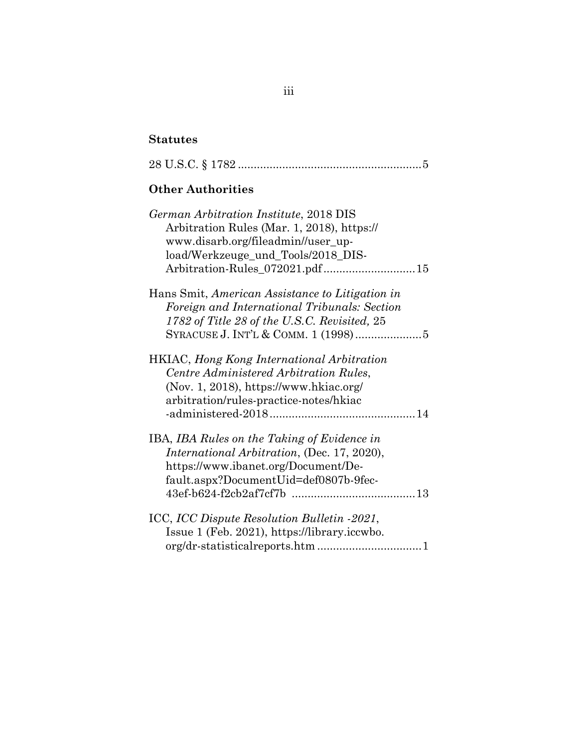# **Statutes**

|--|--|--|--|

# **Other Authorities**

| German Arbitration Institute, 2018 DIS              |
|-----------------------------------------------------|
| Arbitration Rules (Mar. 1, 2018), https://          |
| www.disarb.org/fileadmin//user_up-                  |
| load/Werkzeuge_und_Tools/2018_DIS-                  |
| Arbitration-Rules_072021.pdf15                      |
| Hans Smit, American Assistance to Litigation in     |
| Foreign and International Tribunals: Section        |
| 1782 of Title 28 of the U.S.C. Revisited, 25        |
|                                                     |
| <b>HKIAC</b> , Hong Kong International Arbitration  |
| Centre Administered Arbitration Rules,              |
| $(Nov. 1, 2018)$ , https://www.hkiac.org/           |
| arbitration/rules-practice-notes/hkiac              |
|                                                     |
| IBA, IBA Rules on the Taking of Evidence in         |
| <i>International Arbitration</i> , (Dec. 17, 2020), |
| https://www.ibanet.org/Document/De-                 |
| fault.aspx?DocumentUid=def0807b-9fec-               |
|                                                     |
| ICC, ICC Dispute Resolution Bulletin -2021,         |
| Issue 1 (Feb. 2021), https://library.iccwbo.        |
|                                                     |
|                                                     |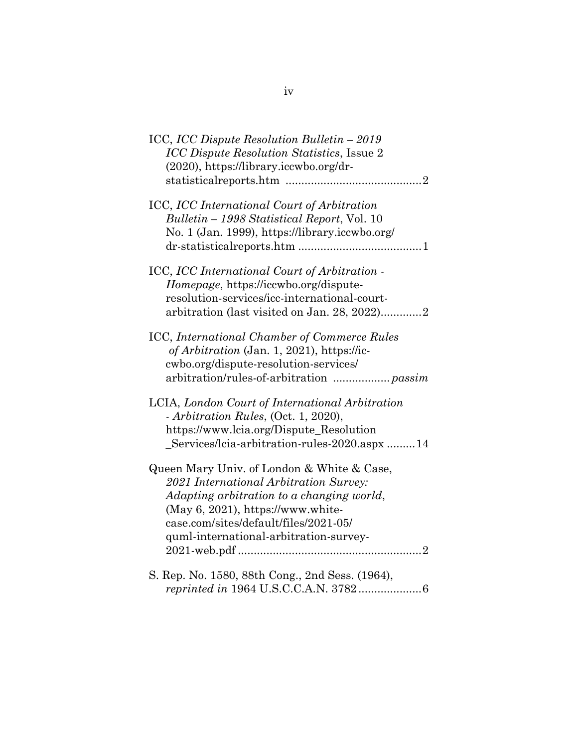| ICC, ICC Dispute Resolution Bulletin – 2019<br><b>ICC Dispute Resolution Statistics, Issue 2</b><br>$(2020)$ , https://library.iccwbo.org/dr-                                                                                                                  |
|----------------------------------------------------------------------------------------------------------------------------------------------------------------------------------------------------------------------------------------------------------------|
|                                                                                                                                                                                                                                                                |
| ICC, ICC International Court of Arbitration<br>Bulletin – 1998 Statistical Report, Vol. 10                                                                                                                                                                     |
| No. 1 (Jan. 1999), https://library.iccwbo.org/                                                                                                                                                                                                                 |
| ICC, ICC International Court of Arbitration -<br>Homepage, https://iccwbo.org/dispute-                                                                                                                                                                         |
| resolution-services/icc-international-court-<br>arbitration (last visited on Jan. 28, 2022)2                                                                                                                                                                   |
| ICC, International Chamber of Commerce Rules<br>of Arbitration (Jan. 1, 2021), https://ic-<br>cwbo.org/dispute-resolution-services/                                                                                                                            |
| LCIA, London Court of International Arbitration<br>- Arbitration Rules, (Oct. 1, 2020),<br>https://www.lcia.org/Dispute_Resolution<br>Services/lcia-arbitration-rules-2020.aspx14                                                                              |
| Queen Mary Univ. of London & White & Case,<br>2021 International Arbitration Survey:<br>Adapting arbitration to a changing world,<br>(May 6, 2021), https://www.white-<br>case.com/sites/default/files/2021-05/<br>quml-international-arbitration-survey-<br>2 |
| S. Rep. No. 1580, 88th Cong., 2nd Sess. (1964),                                                                                                                                                                                                                |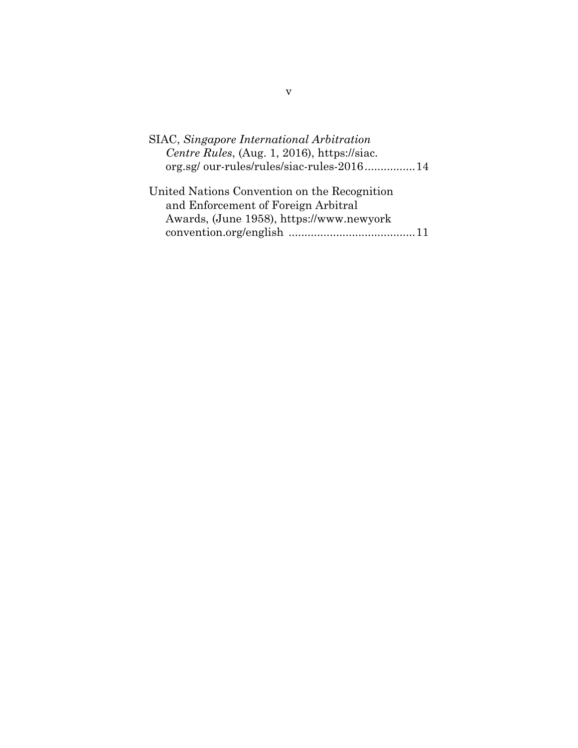| SIAC, Singapore International Arbitration                                                                                                                                                                                                                                                                  |
|------------------------------------------------------------------------------------------------------------------------------------------------------------------------------------------------------------------------------------------------------------------------------------------------------------|
| Centre Rules, (Aug. 1, 2016), https://siac.                                                                                                                                                                                                                                                                |
| org.sg/our-rules/rules/siac-rules-201614                                                                                                                                                                                                                                                                   |
| $\mathbf{H}^{(1)}$ and $\mathbf{H}^{(1)}$ and $\mathbf{H}^{(2)}$ and $\mathbf{H}^{(3)}$ and $\mathbf{H}^{(4)}$ and $\mathbf{H}^{(5)}$ and $\mathbf{H}^{(6)}$ and $\mathbf{H}^{(6)}$ and $\mathbf{H}^{(6)}$ and $\mathbf{H}^{(6)}$ and $\mathbf{H}^{(6)}$ and $\mathbf{H}^{(6)}$ and $\mathbf{H}^{(6)}$ and |

| United Nations Convention on the Recognition |  |
|----------------------------------------------|--|
| and Enforcement of Foreign Arbitral          |  |
| Awards, (June 1958), https://www.newyork     |  |
|                                              |  |
|                                              |  |

v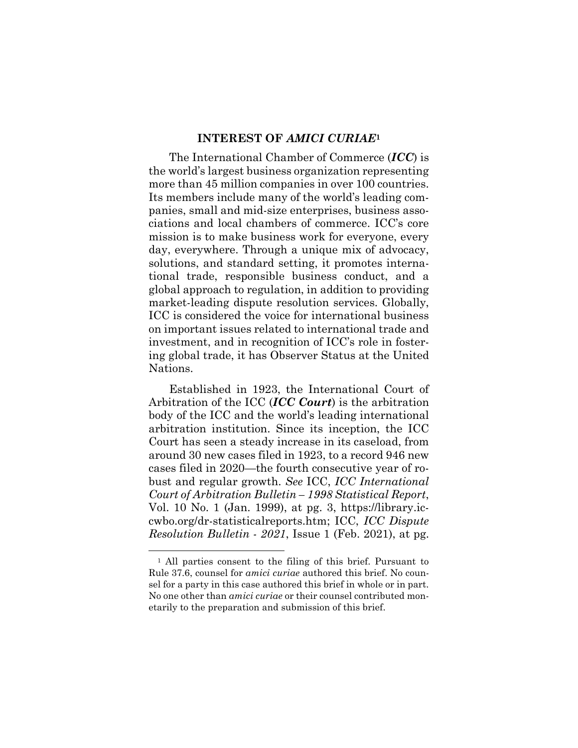#### **INTEREST OF** *AMICI CURIAE***<sup>1</sup>**

<span id="page-6-0"></span>The International Chamber of Commerce (*ICC*) is the world's largest business organization representing more than 45 million companies in over 100 countries. Its members include many of the world's leading companies, small and mid-size enterprises, business associations and local chambers of commerce. ICC's core mission is to make business work for everyone, every day, everywhere. Through a unique mix of advocacy, solutions, and standard setting, it promotes international trade, responsible business conduct, and a global approach to regulation, in addition to providing market-leading dispute resolution services. Globally, ICC is considered the voice for international business on important issues related to international trade and investment, and in recognition of ICC's role in fostering global trade, it has Observer Status at the United Nations.

Established in 1923, the International Court of Arbitration of the ICC (*ICC Court*) is the arbitration body of the ICC and the world's leading international arbitration institution. Since its inception, the ICC Court has seen a steady increase in its caseload, from around 30 new cases filed in 1923, to a record 946 new cases filed in 2020—the fourth consecutive year of robust and regular growth. *See* ICC, *ICC International Court of Arbitration Bulletin – 1998 Statistical Report*, Vol. 10 No. 1 (Jan. 1999), at pg. 3, https://library.iccwbo.org/dr-statisticalreports.htm; ICC, *ICC Dispute Resolution Bulletin - 2021*, Issue 1 (Feb. 2021), at pg.

<sup>&</sup>lt;sup>1</sup> All parties consent to the filing of this brief. Pursuant to Rule 37.6, counsel for *amici curiae* authored this brief. No counsel for a party in this case authored this brief in whole or in part. No one other than *amici curiae* or their counsel contributed monetarily to the preparation and submission of this brief.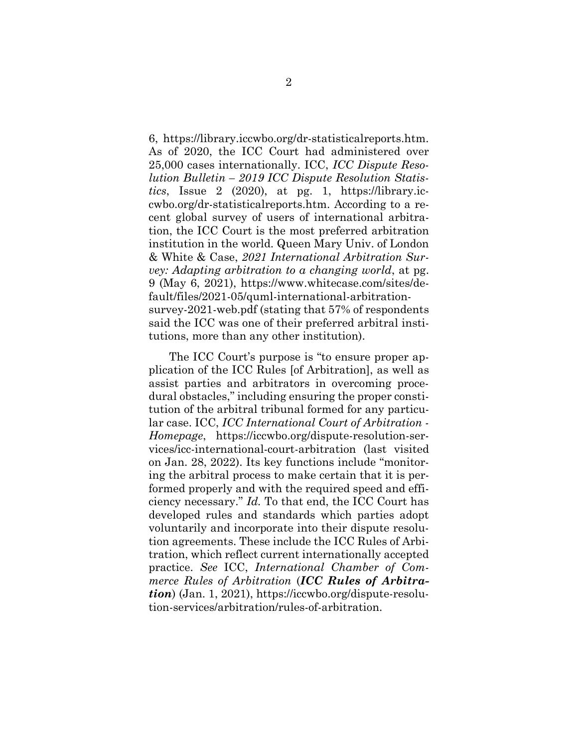6, https://library.iccwbo.org/dr-statisticalreports.htm. As of 2020, the ICC Court had administered over 25,000 cases internationally. ICC, *ICC Dispute Resolution Bulletin – 2019 ICC Dispute Resolution Statistics*, Issue 2 (2020), at pg. 1, https://library.iccwbo.org/dr-statisticalreports.htm. According to a recent global survey of users of international arbitration, the ICC Court is the most preferred arbitration institution in the world. Queen Mary Univ. of London & White & Case, *2021 International Arbitration Survey: Adapting arbitration to a changing world*, at pg. 9 (May 6, 2021), https://www.whitecase.com/sites/default/files/2021-05/quml-international-arbitrationsurvey-2021-web.pdf (stating that 57% of respondents said the ICC was one of their preferred arbitral institutions, more than any other institution).

The ICC Court's purpose is "to ensure proper application of the ICC Rules [of Arbitration], as well as assist parties and arbitrators in overcoming procedural obstacles," including ensuring the proper constitution of the arbitral tribunal formed for any particular case. ICC, *ICC International Court of Arbitration - Homepage*, https://iccwbo.org/dispute-resolution-services/icc-international-court-arbitration (last visited on Jan. 28, 2022). Its key functions include "monitoring the arbitral process to make certain that it is performed properly and with the required speed and efficiency necessary." *Id.* To that end, the ICC Court has developed rules and standards which parties adopt voluntarily and incorporate into their dispute resolution agreements. These include the ICC Rules of Arbitration, which reflect current internationally accepted practice. *See* ICC, *International Chamber of Commerce Rules of Arbitration* (*ICC Rules of Arbitration*) (Jan. 1, 2021), https://iccwbo.org/dispute-resolution-services/arbitration/rules-of-arbitration.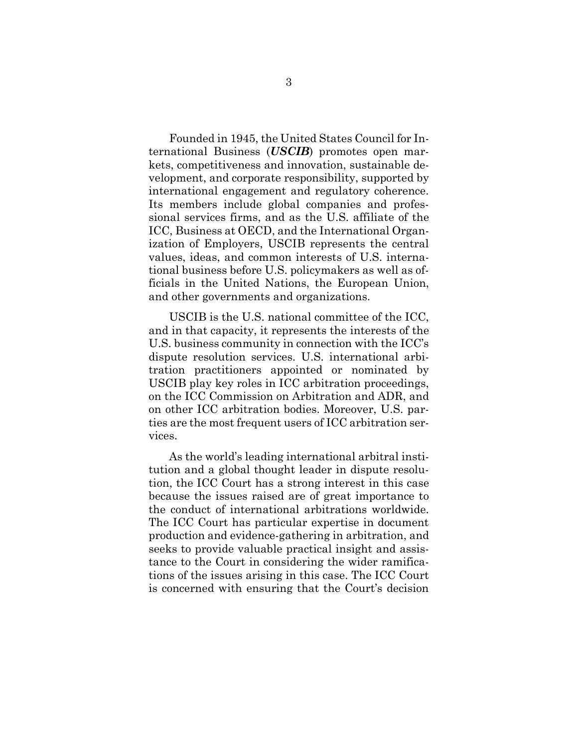Founded in 1945, the United States Council for International Business (*USCIB*) promotes open markets, competitiveness and innovation, sustainable development, and corporate responsibility, supported by international engagement and regulatory coherence. Its members include global companies and professional services firms, and as the U.S. affiliate of the ICC, Business at OECD, and the International Organization of Employers, USCIB represents the central values, ideas, and common interests of U.S. international business before U.S. policymakers as well as officials in the United Nations, the European Union, and other governments and organizations.

USCIB is the U.S. national committee of the ICC, and in that capacity, it represents the interests of the U.S. business community in connection with the ICC's dispute resolution services. U.S. international arbitration practitioners appointed or nominated by USCIB play key roles in ICC arbitration proceedings, on the ICC Commission on Arbitration and ADR, and on other ICC arbitration bodies. Moreover, U.S. parties are the most frequent users of ICC arbitration services.

As the world's leading international arbitral institution and a global thought leader in dispute resolution, the ICC Court has a strong interest in this case because the issues raised are of great importance to the conduct of international arbitrations worldwide. The ICC Court has particular expertise in document production and evidence-gathering in arbitration, and seeks to provide valuable practical insight and assistance to the Court in considering the wider ramifications of the issues arising in this case. The ICC Court is concerned with ensuring that the Court's decision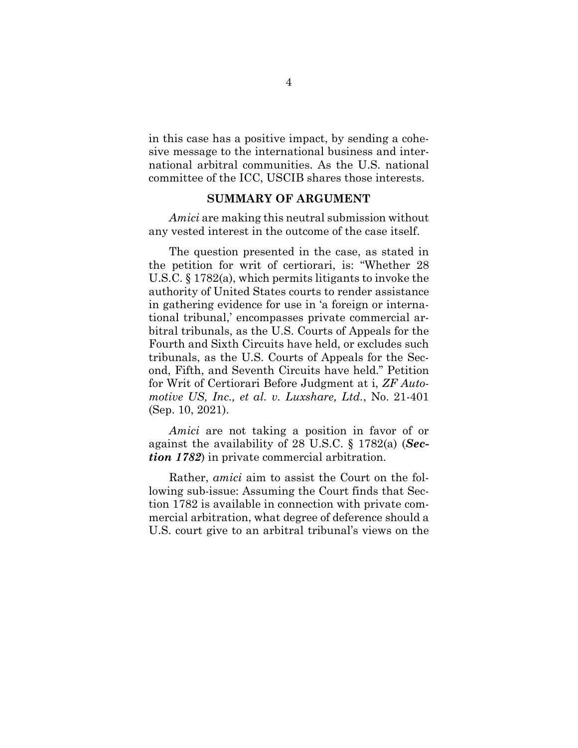in this case has a positive impact, by sending a cohesive message to the international business and international arbitral communities. As the U.S. national committee of the ICC, USCIB shares those interests.

#### **SUMMARY OF ARGUMENT**

<span id="page-9-0"></span>*Amici* are making this neutral submission without any vested interest in the outcome of the case itself.

The question presented in the case, as stated in the petition for writ of certiorari, is: "Whether 28 U.S.C. § 1782(a), which permits litigants to invoke the authority of United States courts to render assistance in gathering evidence for use in 'a foreign or international tribunal,' encompasses private commercial arbitral tribunals, as the U.S. Courts of Appeals for the Fourth and Sixth Circuits have held, or excludes such tribunals, as the U.S. Courts of Appeals for the Second, Fifth, and Seventh Circuits have held." Petition for Writ of Certiorari Before Judgment at i, *ZF Automotive US, Inc., et al. v. Luxshare, Ltd.*, No. 21-401 (Sep. 10, 2021).

*Amici* are not taking a position in favor of or against the availability of 28 U.S.C. § 1782(a) (*Section 1782*) in private commercial arbitration.

Rather, *amici* aim to assist the Court on the following sub-issue: Assuming the Court finds that Section 1782 is available in connection with private commercial arbitration, what degree of deference should a U.S. court give to an arbitral tribunal's views on the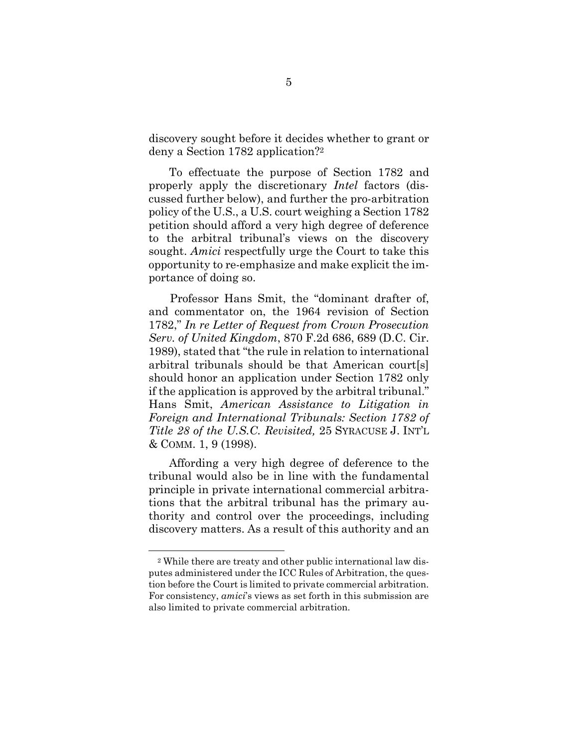discovery sought before it decides whether to grant or deny a Section 1782 application?<sup>2</sup>

To effectuate the purpose of Section 1782 and properly apply the discretionary *Intel* factors (discussed further below), and further the pro-arbitration policy of the U.S., a U.S. court weighing a Section 1782 petition should afford a very high degree of deference to the arbitral tribunal's views on the discovery sought. *Amici* respectfully urge the Court to take this opportunity to re-emphasize and make explicit the importance of doing so.

Professor Hans Smit, the "dominant drafter of, and commentator on, the 1964 revision of Section 1782," *In re Letter of Request from Crown Prosecution Serv. of United Kingdom*, 870 F.2d 686, 689 (D.C. Cir. 1989), stated that "the rule in relation to international arbitral tribunals should be that American court[s] should honor an application under Section 1782 only if the application is approved by the arbitral tribunal." Hans Smit, *American Assistance to Litigation in Foreign and International Tribunals: Section 1782 of Title 28 of the U.S.C. Revisited,* 25 SYRACUSE J. INT'L & COMM. 1, 9 (1998).

Affording a very high degree of deference to the tribunal would also be in line with the fundamental principle in private international commercial arbitrations that the arbitral tribunal has the primary authority and control over the proceedings, including discovery matters. As a result of this authority and an

<sup>2</sup> While there are treaty and other public international law disputes administered under the ICC Rules of Arbitration, the question before the Court is limited to private commercial arbitration. For consistency, *amici*'s views as set forth in this submission are also limited to private commercial arbitration.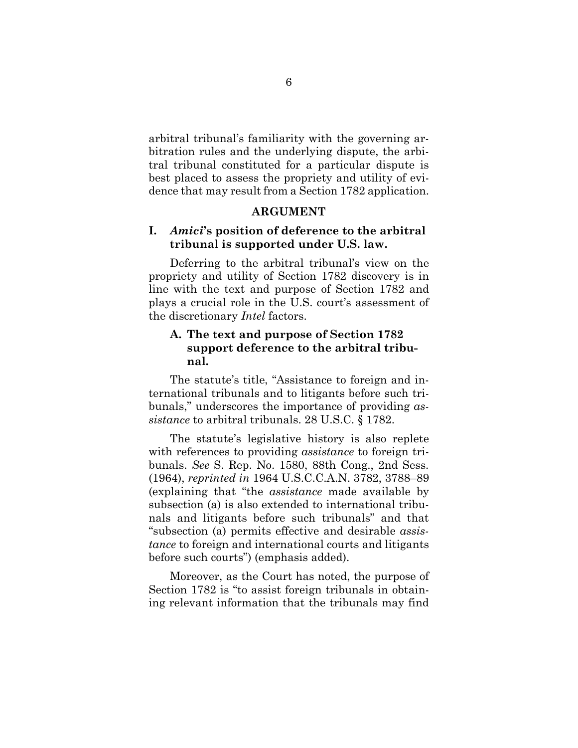arbitral tribunal's familiarity with the governing arbitration rules and the underlying dispute, the arbitral tribunal constituted for a particular dispute is best placed to assess the propriety and utility of evidence that may result from a Section 1782 application.

#### **ARGUMENT**

## <span id="page-11-1"></span><span id="page-11-0"></span>**I.** *Amici***'s position of deference to the arbitral tribunal is supported under U.S. law.**

Deferring to the arbitral tribunal's view on the propriety and utility of Section 1782 discovery is in line with the text and purpose of Section 1782 and plays a crucial role in the U.S. court's assessment of the discretionary *Intel* factors.

# <span id="page-11-2"></span>**A. The text and purpose of Section 1782 support deference to the arbitral tribunal.**

The statute's title, "Assistance to foreign and international tribunals and to litigants before such tribunals," underscores the importance of providing *assistance* to arbitral tribunals. 28 U.S.C. § 1782.

The statute's legislative history is also replete with references to providing *assistance* to foreign tribunals. *See* S. Rep. No. 1580, 88th Cong., 2nd Sess. (1964), *reprinted in* 1964 U.S.C.C.A.N. 3782, 3788–89 (explaining that "the *assistance* made available by subsection (a) is also extended to international tribunals and litigants before such tribunals" and that "subsection (a) permits effective and desirable *assistance* to foreign and international courts and litigants before such courts") (emphasis added).

Moreover, as the Court has noted, the purpose of Section 1782 is "to assist foreign tribunals in obtaining relevant information that the tribunals may find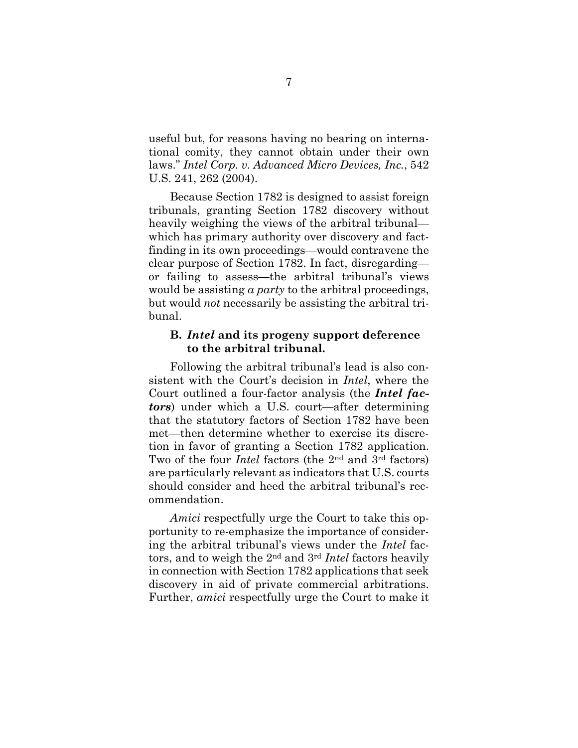useful but, for reasons having no bearing on international comity, they cannot obtain under their own laws." *Intel Corp. v. Advanced Micro Devices, Inc.*, 542 U.S. 241, 262 (2004).

Because Section 1782 is designed to assist foreign tribunals, granting Section 1782 discovery without heavily weighing the views of the arbitral tribunal which has primary authority over discovery and factfinding in its own proceedings—would contravene the clear purpose of Section 1782. In fact, disregarding or failing to assess—the arbitral tribunal's views would be assisting *a party* to the arbitral proceedings, but would *not* necessarily be assisting the arbitral tribunal.

## <span id="page-12-0"></span>**B.** *Intel* **and its progeny support deference to the arbitral tribunal.**

Following the arbitral tribunal's lead is also consistent with the Court's decision in *Intel*, where the Court outlined a four-factor analysis (the *Intel factors*) under which a U.S. court—after determining that the statutory factors of Section 1782 have been met—then determine whether to exercise its discretion in favor of granting a Section 1782 application. Two of the four *Intel* factors (the 2nd and 3rd factors) are particularly relevant as indicators that U.S. courts should consider and heed the arbitral tribunal's recommendation.

*Amici* respectfully urge the Court to take this opportunity to re-emphasize the importance of considering the arbitral tribunal's views under the *Intel* factors, and to weigh the 2nd and 3rd *Intel* factors heavily in connection with Section 1782 applications that seek discovery in aid of private commercial arbitrations. Further, *amici* respectfully urge the Court to make it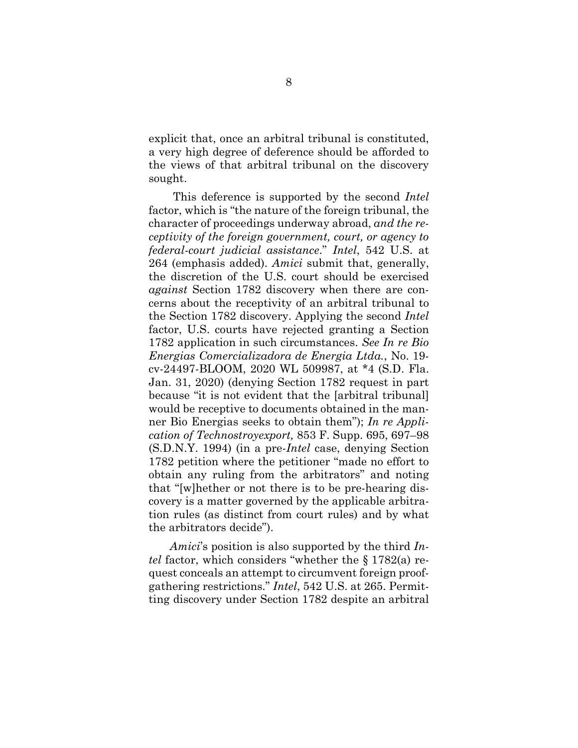explicit that, once an arbitral tribunal is constituted, a very high degree of deference should be afforded to the views of that arbitral tribunal on the discovery sought.

 This deference is supported by the second *Intel*  factor, which is "the nature of the foreign tribunal, the character of proceedings underway abroad, *and the receptivity of the foreign government, court, or agency to federal-court judicial assistance*." *Intel*, 542 U.S. at 264 (emphasis added). *Amici* submit that, generally, the discretion of the U.S. court should be exercised *against* Section 1782 discovery when there are concerns about the receptivity of an arbitral tribunal to the Section 1782 discovery. Applying the second *Intel*  factor, U.S. courts have rejected granting a Section 1782 application in such circumstances. *See In re Bio Energias Comercializadora de Energia Ltda.*, No. 19 cv-24497-BLOOM, 2020 WL 509987, at \*4 (S.D. Fla. Jan. 31, 2020) (denying Section 1782 request in part because "it is not evident that the [arbitral tribunal] would be receptive to documents obtained in the manner Bio Energias seeks to obtain them"); *In re Application of Technostroyexport,* 853 F. Supp. 695, 697–98 (S.D.N.Y. 1994) (in a pre-*Intel* case, denying Section 1782 petition where the petitioner "made no effort to obtain any ruling from the arbitrators" and noting that "[w]hether or not there is to be pre-hearing discovery is a matter governed by the applicable arbitration rules (as distinct from court rules) and by what the arbitrators decide").

*Amici*'s position is also supported by the third *Intel* factor, which considers "whether the § 1782(a) request conceals an attempt to circumvent foreign proofgathering restrictions." *Intel*, 542 U.S. at 265. Permitting discovery under Section 1782 despite an arbitral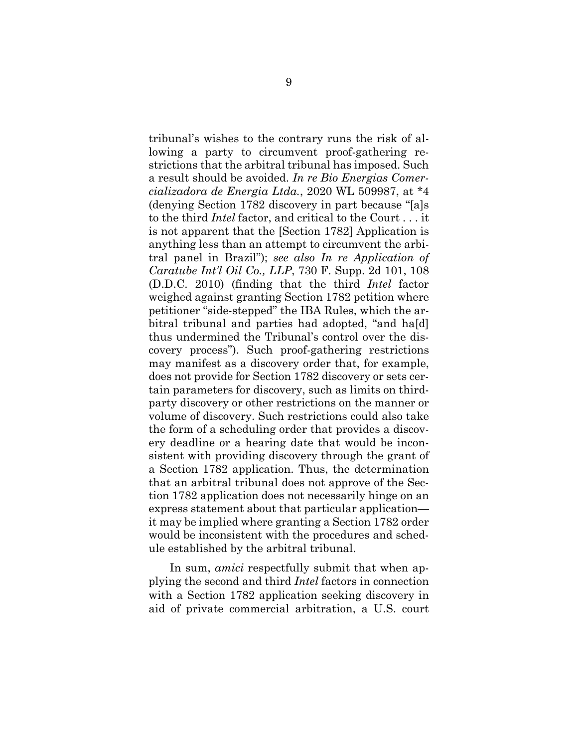tribunal's wishes to the contrary runs the risk of allowing a party to circumvent proof-gathering restrictions that the arbitral tribunal has imposed. Such a result should be avoided. *In re Bio Energias Comercializadora de Energia Ltda.*, 2020 WL 509987, at \*4 (denying Section 1782 discovery in part because "[a]s to the third *Intel* factor, and critical to the Court . . . it is not apparent that the [Section 1782] Application is anything less than an attempt to circumvent the arbitral panel in Brazil"); *see also In re Application of Caratube Int'l Oil Co., LLP*, 730 F. Supp. 2d 101, 108 (D.D.C. 2010) (finding that the third *Intel* factor weighed against granting Section 1782 petition where petitioner "side-stepped" the IBA Rules, which the arbitral tribunal and parties had adopted, "and ha[d] thus undermined the Tribunal's control over the discovery process"). Such proof-gathering restrictions may manifest as a discovery order that, for example, does not provide for Section 1782 discovery or sets certain parameters for discovery, such as limits on thirdparty discovery or other restrictions on the manner or volume of discovery. Such restrictions could also take the form of a scheduling order that provides a discovery deadline or a hearing date that would be inconsistent with providing discovery through the grant of a Section 1782 application. Thus, the determination that an arbitral tribunal does not approve of the Section 1782 application does not necessarily hinge on an express statement about that particular application it may be implied where granting a Section 1782 order would be inconsistent with the procedures and schedule established by the arbitral tribunal.

In sum, *amici* respectfully submit that when applying the second and third *Intel* factors in connection with a Section 1782 application seeking discovery in aid of private commercial arbitration, a U.S. court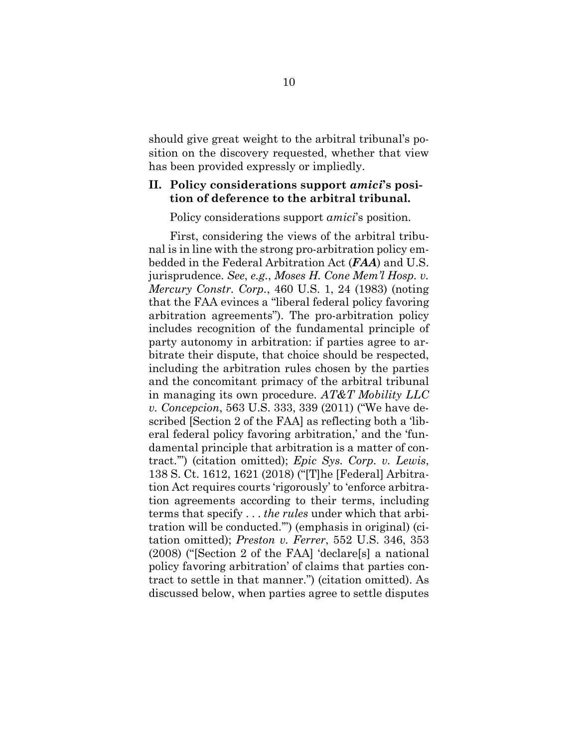should give great weight to the arbitral tribunal's position on the discovery requested, whether that view has been provided expressly or impliedly.

#### <span id="page-15-0"></span>**II. Policy considerations support** *amici***'s position of deference to the arbitral tribunal.**

Policy considerations support *amici*'s position.

First, considering the views of the arbitral tribunal is in line with the strong pro-arbitration policy embedded in the Federal Arbitration Act (*FAA*) and U.S. jurisprudence. *See*, *e.g.*, *Moses H. Cone Mem'l Hosp. v. Mercury Constr. Corp.*, 460 U.S. 1, 24 (1983) (noting that the FAA evinces a "liberal federal policy favoring arbitration agreements"). The pro-arbitration policy includes recognition of the fundamental principle of party autonomy in arbitration: if parties agree to arbitrate their dispute, that choice should be respected, including the arbitration rules chosen by the parties and the concomitant primacy of the arbitral tribunal in managing its own procedure. *AT&T Mobility LLC v. Concepcion*, 563 U.S. 333, 339 (2011) ("We have described [Section 2 of the FAA] as reflecting both a 'liberal federal policy favoring arbitration,' and the 'fundamental principle that arbitration is a matter of contract.'") (citation omitted); *Epic Sys. Corp. v. Lewis*, 138 S. Ct. 1612, 1621 (2018) ("[T]he [Federal] Arbitration Act requires courts 'rigorously' to 'enforce arbitration agreements according to their terms, including terms that specify . . . *the rules* under which that arbitration will be conducted.'") (emphasis in original) (citation omitted); *Preston v. Ferrer*, 552 U.S. 346, 353 (2008) ("[Section 2 of the FAA] 'declare[s] a national policy favoring arbitration' of claims that parties contract to settle in that manner.") (citation omitted). As discussed below, when parties agree to settle disputes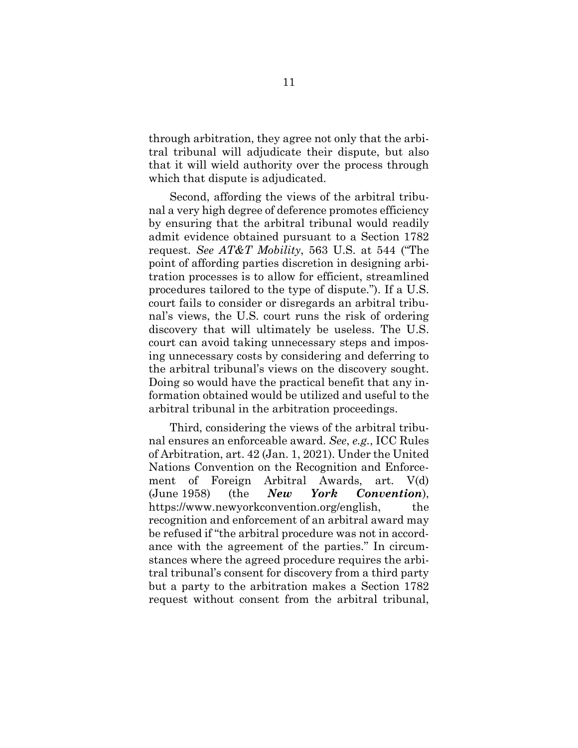through arbitration, they agree not only that the arbitral tribunal will adjudicate their dispute, but also that it will wield authority over the process through which that dispute is adjudicated.

Second, affording the views of the arbitral tribunal a very high degree of deference promotes efficiency by ensuring that the arbitral tribunal would readily admit evidence obtained pursuant to a Section 1782 request. *See AT&T Mobility*, 563 U.S. at 544 ("The point of affording parties discretion in designing arbitration processes is to allow for efficient, streamlined procedures tailored to the type of dispute."). If a U.S. court fails to consider or disregards an arbitral tribunal's views, the U.S. court runs the risk of ordering discovery that will ultimately be useless. The U.S. court can avoid taking unnecessary steps and imposing unnecessary costs by considering and deferring to the arbitral tribunal's views on the discovery sought. Doing so would have the practical benefit that any information obtained would be utilized and useful to the arbitral tribunal in the arbitration proceedings.

Third, considering the views of the arbitral tribunal ensures an enforceable award. *See*, *e.g.*, ICC Rules of Arbitration, art. 42 (Jan. 1, 2021). Under the United Nations Convention on the Recognition and Enforcement of Foreign Arbitral Awards, art. V(d) (June 1958) (the *New York Convention*), https://www.newyorkconvention.org/english, the recognition and enforcement of an arbitral award may be refused if "the arbitral procedure was not in accordance with the agreement of the parties." In circumstances where the agreed procedure requires the arbitral tribunal's consent for discovery from a third party but a party to the arbitration makes a Section 1782 request without consent from the arbitral tribunal,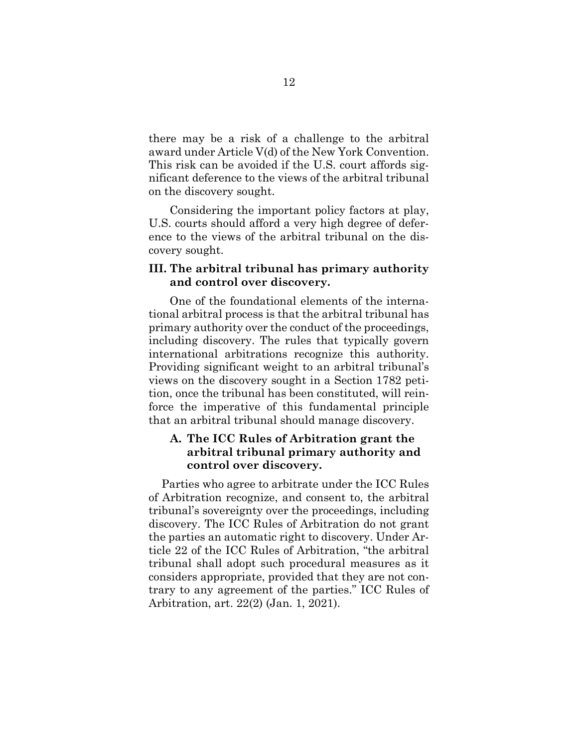there may be a risk of a challenge to the arbitral award under Article V(d) of the New York Convention. This risk can be avoided if the U.S. court affords significant deference to the views of the arbitral tribunal on the discovery sought.

Considering the important policy factors at play, U.S. courts should afford a very high degree of deference to the views of the arbitral tribunal on the discovery sought.

### <span id="page-17-0"></span>**III. The arbitral tribunal has primary authority and control over discovery.**

One of the foundational elements of the international arbitral process is that the arbitral tribunal has primary authority over the conduct of the proceedings, including discovery. The rules that typically govern international arbitrations recognize this authority. Providing significant weight to an arbitral tribunal's views on the discovery sought in a Section 1782 petition, once the tribunal has been constituted, will reinforce the imperative of this fundamental principle that an arbitral tribunal should manage discovery.

## <span id="page-17-1"></span>**A. The ICC Rules of Arbitration grant the arbitral tribunal primary authority and control over discovery.**

Parties who agree to arbitrate under the ICC Rules of Arbitration recognize, and consent to, the arbitral tribunal's sovereignty over the proceedings, including discovery. The ICC Rules of Arbitration do not grant the parties an automatic right to discovery. Under Article 22 of the ICC Rules of Arbitration, "the arbitral tribunal shall adopt such procedural measures as it considers appropriate, provided that they are not contrary to any agreement of the parties." ICC Rules of Arbitration, art. 22(2) (Jan. 1, 2021).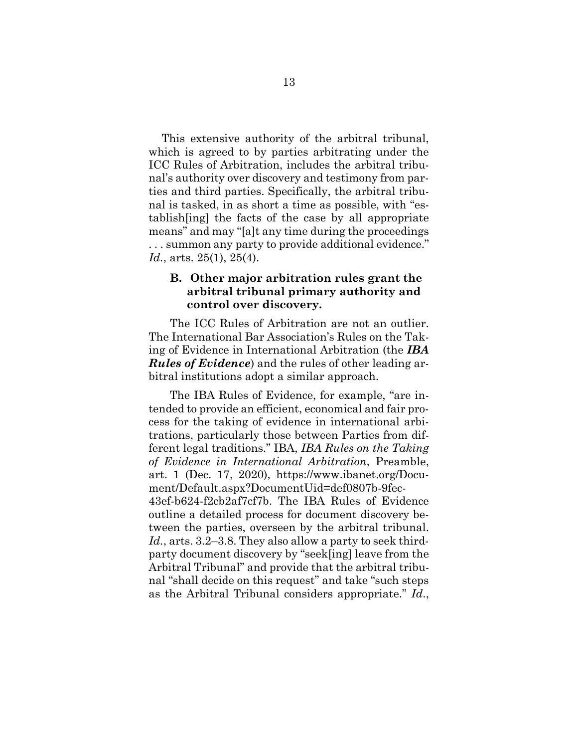This extensive authority of the arbitral tribunal, which is agreed to by parties arbitrating under the ICC Rules of Arbitration, includes the arbitral tribunal's authority over discovery and testimony from parties and third parties. Specifically, the arbitral tribunal is tasked, in as short a time as possible, with "establish[ing] the facts of the case by all appropriate means" and may "[a]t any time during the proceedings . . . summon any party to provide additional evidence." *Id.*, arts. 25(1), 25(4).

## <span id="page-18-0"></span>**B. Other major arbitration rules grant the arbitral tribunal primary authority and control over discovery.**

The ICC Rules of Arbitration are not an outlier. The International Bar Association's Rules on the Taking of Evidence in International Arbitration (the *IBA Rules of Evidence*) and the rules of other leading arbitral institutions adopt a similar approach.

The IBA Rules of Evidence, for example, "are intended to provide an efficient, economical and fair process for the taking of evidence in international arbitrations, particularly those between Parties from different legal traditions." IBA, *IBA Rules on the Taking of Evidence in International Arbitration*, Preamble, art. 1 (Dec. 17, 2020), https://www.ibanet.org/Document/Default.aspx?DocumentUid=def0807b-9fec-43ef-b624-f2cb2af7cf7b. The IBA Rules of Evidence outline a detailed process for document discovery between the parties, overseen by the arbitral tribunal. *Id.*, arts. 3.2–3.8. They also allow a party to seek thirdparty document discovery by "seek[ing] leave from the Arbitral Tribunal" and provide that the arbitral tribunal "shall decide on this request" and take "such steps as the Arbitral Tribunal considers appropriate." *Id*.,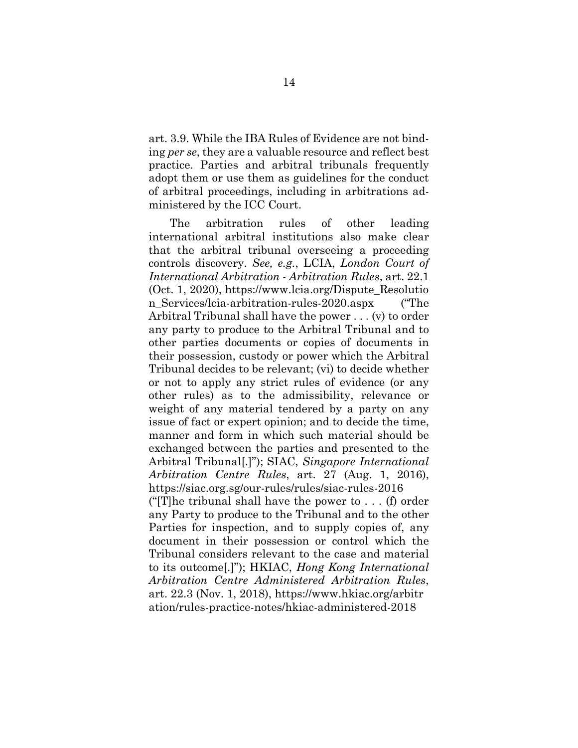art. 3.9. While the IBA Rules of Evidence are not binding *per se*, they are a valuable resource and reflect best practice. Parties and arbitral tribunals frequently adopt them or use them as guidelines for the conduct of arbitral proceedings, including in arbitrations administered by the ICC Court.

The arbitration rules of other leading international arbitral institutions also make clear that the arbitral tribunal overseeing a proceeding controls discovery. *See, e.g.*, LCIA, *London Court of International Arbitration - Arbitration Rules*, art. 22.1 (Oct. 1, 2020), https://www.lcia.org/Dispute\_Resolutio n Services/lcia-arbitration-rules-2020.aspx ("The Arbitral Tribunal shall have the power . . . (v) to order any party to produce to the Arbitral Tribunal and to other parties documents or copies of documents in their possession, custody or power which the Arbitral Tribunal decides to be relevant; (vi) to decide whether or not to apply any strict rules of evidence (or any other rules) as to the admissibility, relevance or weight of any material tendered by a party on any issue of fact or expert opinion; and to decide the time, manner and form in which such material should be exchanged between the parties and presented to the Arbitral Tribunal[.]"); SIAC, *Singapore International Arbitration Centre Rules*, art. 27 (Aug. 1, 2016), https://siac.org.sg/our-rules/rules/siac-rules-2016 ("The tribunal shall have the power to  $\dots$  (f) order any Party to produce to the Tribunal and to the other Parties for inspection, and to supply copies of, any document in their possession or control which the Tribunal considers relevant to the case and material to its outcome[.]"); HKIAC, *Hong Kong International* 

*Arbitration Centre Administered Arbitration Rules*, art. 22.3 (Nov. 1, 2018), https://www.hkiac.org/arbitr ation/rules-practice-notes/hkiac-administered-2018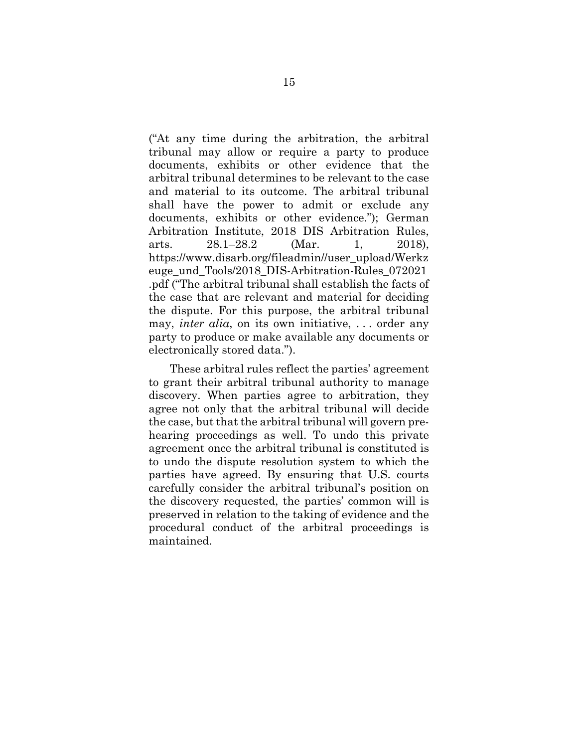("At any time during the arbitration, the arbitral tribunal may allow or require a party to produce documents, exhibits or other evidence that the arbitral tribunal determines to be relevant to the case and material to its outcome. The arbitral tribunal shall have the power to admit or exclude any documents, exhibits or other evidence."); German Arbitration Institute, 2018 DIS Arbitration Rules, arts. 28.1–28.2 (Mar. 1, 2018), https://www.disarb.org/fileadmin//user\_upload/Werkz euge und Tools/2018 DIS-Arbitration-Rules 072021 .pdf ("The arbitral tribunal shall establish the facts of the case that are relevant and material for deciding the dispute. For this purpose, the arbitral tribunal may, *inter alia*, on its own initiative, . . . order any party to produce or make available any documents or electronically stored data.").

These arbitral rules reflect the parties' agreement to grant their arbitral tribunal authority to manage discovery. When parties agree to arbitration, they agree not only that the arbitral tribunal will decide the case, but that the arbitral tribunal will govern prehearing proceedings as well. To undo this private agreement once the arbitral tribunal is constituted is to undo the dispute resolution system to which the parties have agreed. By ensuring that U.S. courts carefully consider the arbitral tribunal's position on the discovery requested, the parties' common will is preserved in relation to the taking of evidence and the procedural conduct of the arbitral proceedings is maintained.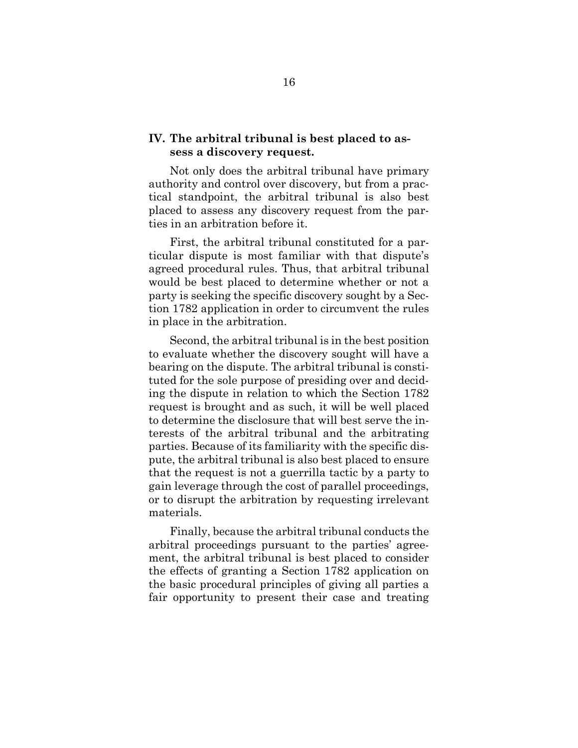#### <span id="page-21-0"></span>**IV. The arbitral tribunal is best placed to assess a discovery request.**

Not only does the arbitral tribunal have primary authority and control over discovery, but from a practical standpoint, the arbitral tribunal is also best placed to assess any discovery request from the parties in an arbitration before it.

First, the arbitral tribunal constituted for a particular dispute is most familiar with that dispute's agreed procedural rules. Thus, that arbitral tribunal would be best placed to determine whether or not a party is seeking the specific discovery sought by a Section 1782 application in order to circumvent the rules in place in the arbitration.

Second, the arbitral tribunal is in the best position to evaluate whether the discovery sought will have a bearing on the dispute. The arbitral tribunal is constituted for the sole purpose of presiding over and deciding the dispute in relation to which the Section 1782 request is brought and as such, it will be well placed to determine the disclosure that will best serve the interests of the arbitral tribunal and the arbitrating parties. Because of its familiarity with the specific dispute, the arbitral tribunal is also best placed to ensure that the request is not a guerrilla tactic by a party to gain leverage through the cost of parallel proceedings, or to disrupt the arbitration by requesting irrelevant materials.

Finally, because the arbitral tribunal conducts the arbitral proceedings pursuant to the parties' agreement, the arbitral tribunal is best placed to consider the effects of granting a Section 1782 application on the basic procedural principles of giving all parties a fair opportunity to present their case and treating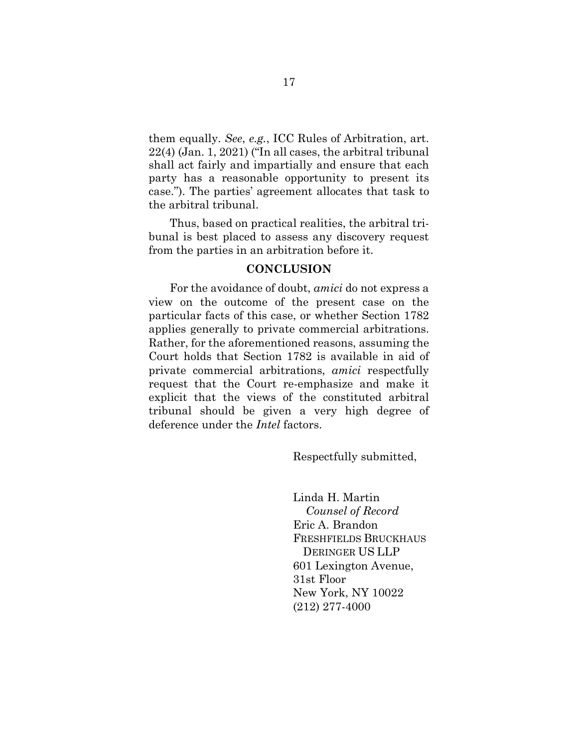them equally. *See*, *e.g.*, ICC Rules of Arbitration, art. 22(4) (Jan. 1, 2021) ("In all cases, the arbitral tribunal shall act fairly and impartially and ensure that each party has a reasonable opportunity to present its case."). The parties' agreement allocates that task to the arbitral tribunal.

Thus, based on practical realities, the arbitral tribunal is best placed to assess any discovery request from the parties in an arbitration before it.

#### **CONCLUSION**

<span id="page-22-0"></span>For the avoidance of doubt, *amici* do not express a view on the outcome of the present case on the particular facts of this case, or whether Section 1782 applies generally to private commercial arbitrations. Rather, for the aforementioned reasons, assuming the Court holds that Section 1782 is available in aid of private commercial arbitrations, *amici* respectfully request that the Court re-emphasize and make it explicit that the views of the constituted arbitral tribunal should be given a very high degree of deference under the *Intel* factors.

Respectfully submitted,

Linda H. Martin *Counsel of Record* Eric A. Brandon FRESHFIELDS BRUCKHAUS DERINGER US LLP 601 Lexington Avenue, 31st Floor New York, NY 10022 (212) 277-4000